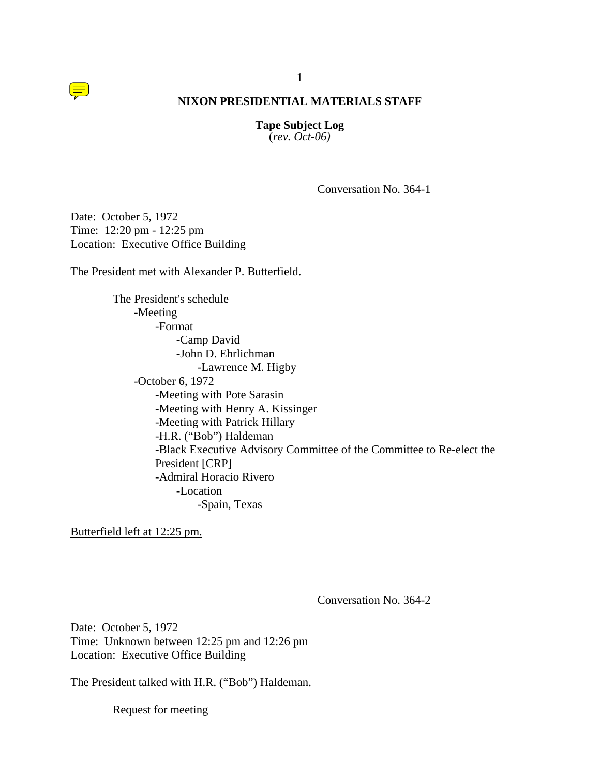1

**Tape Subject Log** (*rev. Oct-06)*

Conversation No. 364-1

Date: October 5, 1972 Time: 12:20 pm - 12:25 pm Location: Executive Office Building

The President met with Alexander P. Butterfield.

The President's schedule -Meeting -Format -Camp David -John D. Ehrlichman -Lawrence M. Higby -October 6, 1972 -Meeting with Pote Sarasin -Meeting with Henry A. Kissinger -Meeting with Patrick Hillary -H.R. ("Bob") Haldeman -Black Executive Advisory Committee of the Committee to Re-elect the President [CRP] -Admiral Horacio Rivero -Location -Spain, Texas

Butterfield left at 12:25 pm.

Conversation No. 364-2

Date: October 5, 1972 Time: Unknown between 12:25 pm and 12:26 pm Location: Executive Office Building

The President talked with H.R. ("Bob") Haldeman.

Request for meeting

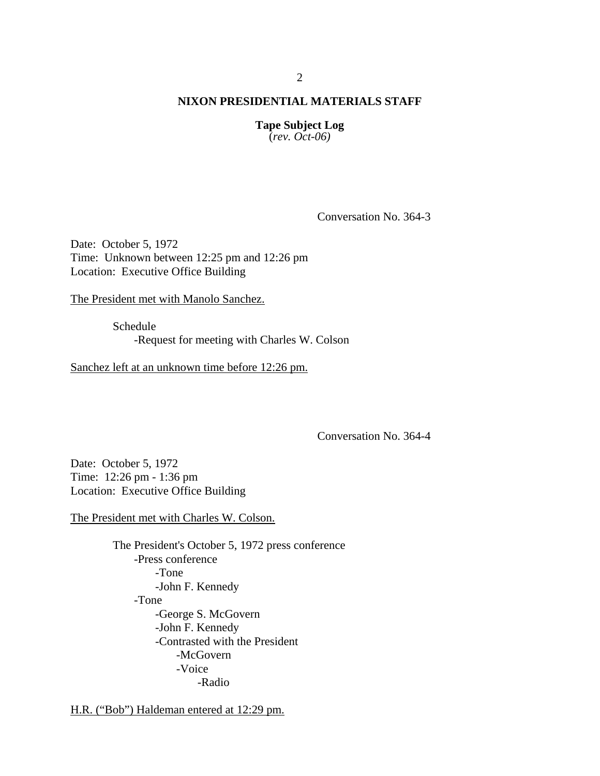**Tape Subject Log** (*rev. Oct-06)*

Conversation No. 364-3

Date: October 5, 1972 Time: Unknown between 12:25 pm and 12:26 pm Location: Executive Office Building

The President met with Manolo Sanchez.

Schedule -Request for meeting with Charles W. Colson

Sanchez left at an unknown time before 12:26 pm.

Conversation No. 364-4

Date: October 5, 1972 Time: 12:26 pm - 1:36 pm Location: Executive Office Building

The President met with Charles W. Colson.

The President's October 5, 1972 press conference -Press conference -Tone -John F. Kennedy -Tone -George S. McGovern -John F. Kennedy -Contrasted with the President -McGovern -Voice -Radio

H.R. ("Bob") Haldeman entered at 12:29 pm.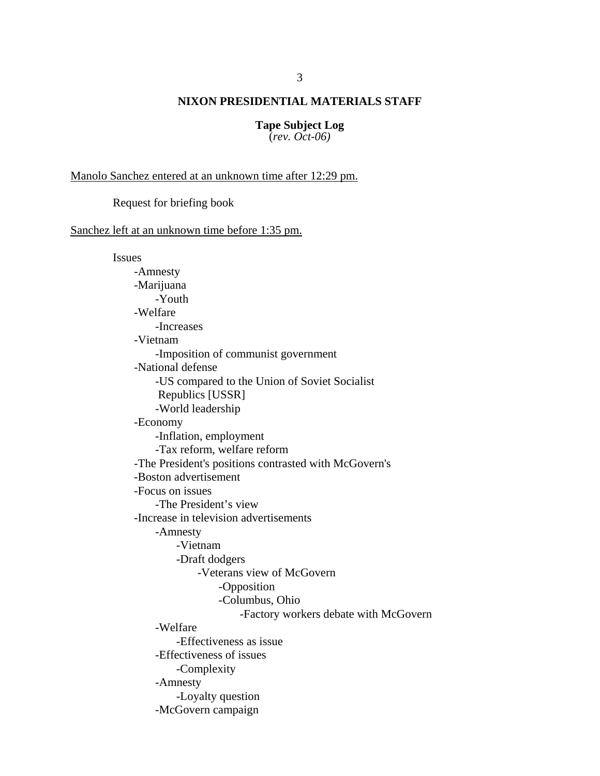# **Tape Subject Log**

(*rev. Oct-06)*

Manolo Sanchez entered at an unknown time after 12:29 pm.

Request for briefing book

Sanchez left at an unknown time before 1:35 pm.

Issues -Amnesty -Marijuana -Youth -Welfare -Increases -Vietnam -Imposition of communist government -National defense -US compared to the Union of Soviet Socialist Republics [USSR] -World leadership -Economy -Inflation, employment -Tax reform, welfare reform -The President's positions contrasted with McGovern's -Boston advertisement -Focus on issues -The President's view -Increase in television advertisements -Amnesty -Vietnam -Draft dodgers -Veterans view of McGovern -Opposition -Columbus, Ohio -Factory workers debate with McGovern -Welfare -Effectiveness as issue -Effectiveness of issues -Complexity -Amnesty -Loyalty question -McGovern campaign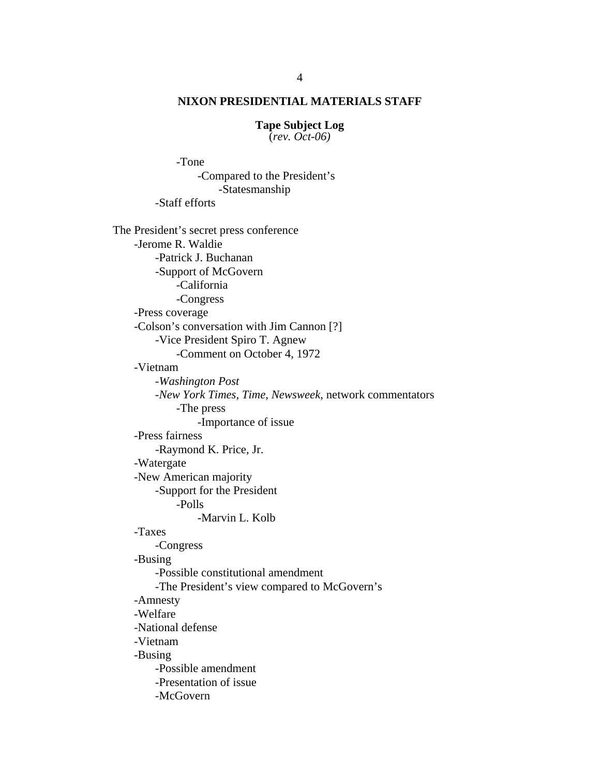# **Tape Subject Log**

(*rev. Oct-06)*

-Tone

 -Compared to the President's -Statesmanship -Staff efforts The President's secret press conference -Jerome R. Waldie -Patrick J. Buchanan -Support of McGovern -California -Congress -Press coverage -Colson's conversation with Jim Cannon [?] -Vice President Spiro T. Agnew -Comment on October 4, 1972 -Vietnam *-Washington Post*  -*New York Times, Time, Newsweek*, network commentators -The press -Importance of issue -Press fairness -Raymond K. Price, Jr. -Watergate -New American majority -Support for the President -Polls -Marvin L. Kolb -Taxes -Congress -Busing -Possible constitutional amendment -The President's view compared to McGovern's -Amnesty -Welfare -National defense -Vietnam -Busing -Possible amendment -Presentation of issue -McGovern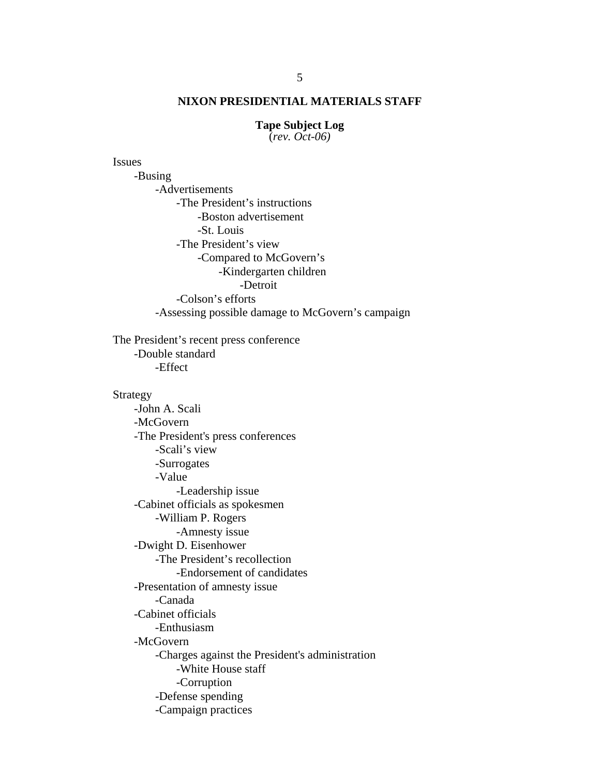# **Tape Subject Log**

(*rev. Oct-06)*

Issues

 -Busing -Advertisements -The President's instructions -Boston advertisement -St. Louis -The President's view -Compared to McGovern's -Kindergarten children -Detroit -Colson's efforts

-Assessing possible damage to McGovern's campaign

 The President's recent press conference -Double standard -Effect

#### Strategy

 -John A. Scali -McGovern -The President's press conferences -Scali's view -Surrogates -Value -Leadership issue -Cabinet officials as spokesmen -William P. Rogers -Amnesty issue -Dwight D. Eisenhower -The President's recollection -Endorsement of candidates -Presentation of amnesty issue -Canada -Cabinet officials -Enthusiasm -McGovern -Charges against the President's administration -White House staff -Corruption -Defense spending -Campaign practices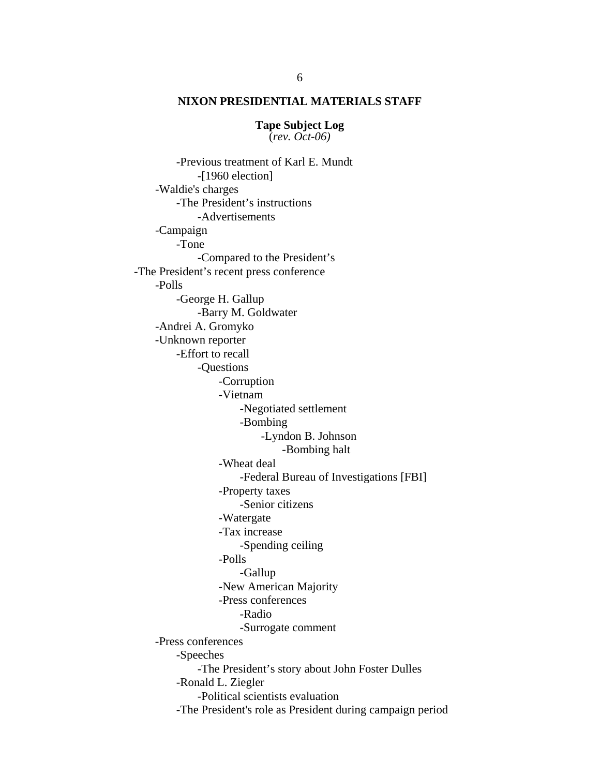**Tape Subject Log** (*rev. Oct-06)*

 -Previous treatment of Karl E. Mundt -[1960 election] -Waldie's charges -The President's instructions -Advertisements -Campaign -Tone -Compared to the President's -The President's recent press conference -Polls -George H. Gallup -Barry M. Goldwater -Andrei A. Gromyko -Unknown reporter -Effort to recall -Questions -Corruption -Vietnam -Negotiated settlement -Bombing -Lyndon B. Johnson -Bombing halt -Wheat deal -Federal Bureau of Investigations [FBI] -Property taxes -Senior citizens -Watergate -Tax increase -Spending ceiling -Polls -Gallup -New American Majority -Press conferences -Radio -Surrogate comment -Press conferences -Speeches -The President's story about John Foster Dulles -Ronald L. Ziegler -Political scientists evaluation -The President's role as President during campaign period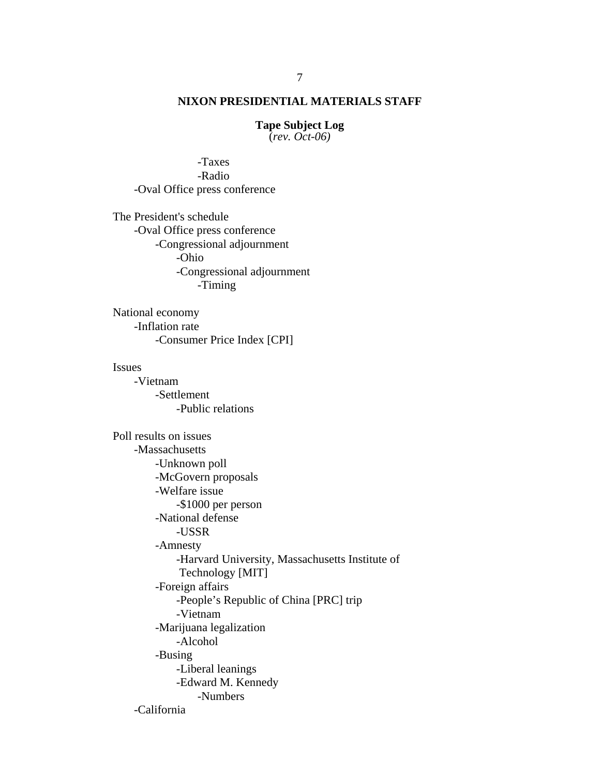**Tape Subject Log** (*rev. Oct-06)*

 -Taxes -Radio -Oval Office press conference

The President's schedule -Oval Office press conference -Congressional adjournment -Ohio -Congressional adjournment -Timing

National economy -Inflation rate -Consumer Price Index [CPI]

#### Issues

-Vietnam -Settlement -Public relations

Poll results on issues -Massachusetts -Unknown poll -McGovern proposals -Welfare issue -\$1000 per person -National defense -USSR -Amnesty -Harvard University, Massachusetts Institute of Technology [MIT] -Foreign affairs -People's Republic of China [PRC] trip -Vietnam -Marijuana legalization -Alcohol -Busing -Liberal leanings -Edward M. Kennedy -Numbers -California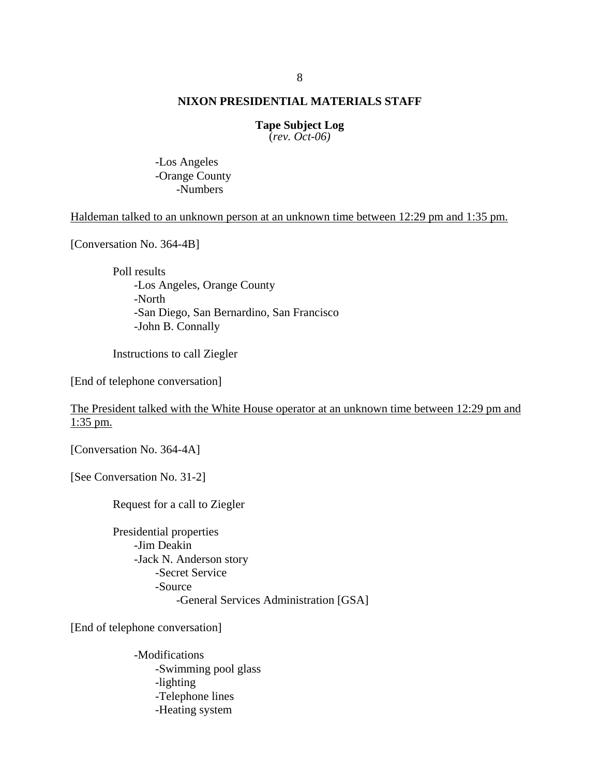#### **Tape Subject Log** (*rev. Oct-06)*

-Los Angeles -Orange County

-Numbers

# Haldeman talked to an unknown person at an unknown time between 12:29 pm and 1:35 pm.

[Conversation No. 364-4B]

 Poll results -Los Angeles, Orange County -North -San Diego, San Bernardino, San Francisco -John B. Connally

Instructions to call Ziegler

[End of telephone conversation]

# The President talked with the White House operator at an unknown time between 12:29 pm and 1:35 pm.

[Conversation No. 364-4A]

[See Conversation No. 31-2]

Request for a call to Ziegler

Presidential properties -Jim Deakin -Jack N. Anderson story -Secret Service -Source -General Services Administration [GSA]

[End of telephone conversation]

-Modifications -Swimming pool glass -lighting -Telephone lines -Heating system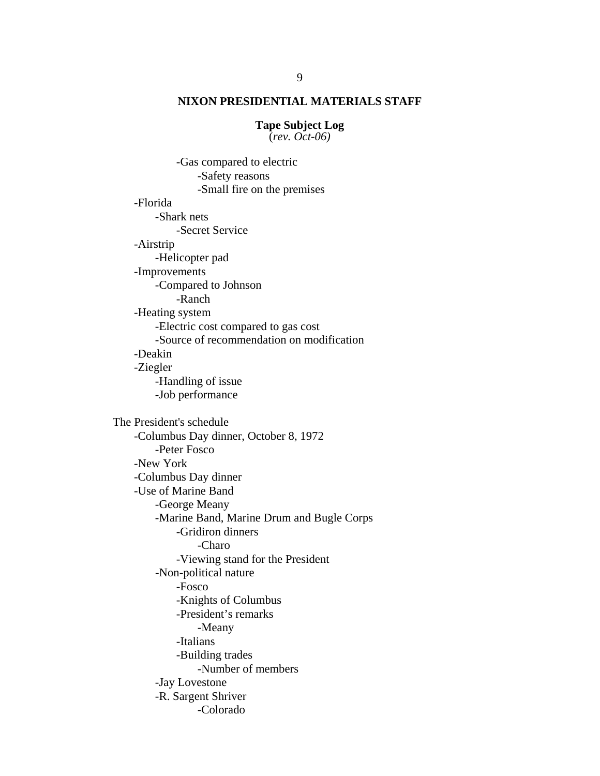# **Tape Subject Log**

(*rev. Oct-06)*

-Gas compared to electric -Safety reasons -Small fire on the premises -Florida -Shark nets -Secret Service -Airstrip -Helicopter pad -Improvements -Compared to Johnson -Ranch -Heating system -Electric cost compared to gas cost -Source of recommendation on modification -Deakin -Ziegler -Handling of issue -Job performance The President's schedule -Columbus Day dinner, October 8, 1972 -Peter Fosco -New York -Columbus Day dinner -Use of Marine Band -George Meany -Marine Band, Marine Drum and Bugle Corps -Gridiron dinners -Charo -Viewing stand for the President -Non-political nature -Fosco -Knights of Columbus -President's remarks -Meany -Italians -Building trades -Number of members -Jay Lovestone -R. Sargent Shriver -Colorado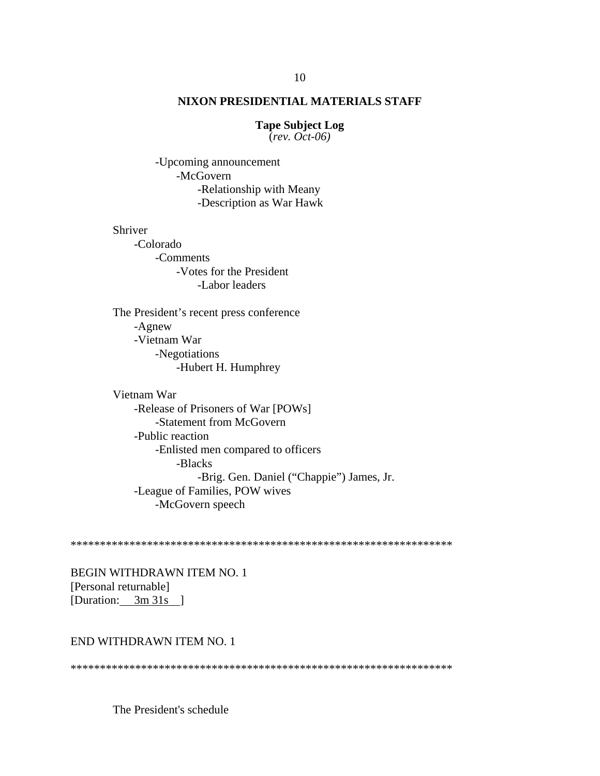#### **Tape Subject Log**  $\overline{(rev. Oct-06)}$

-Upcoming announcement -McGovern -Relationship with Meany -Description as War Hawk

## Shriver

-Colorado -Comments -Votes for the President -Labor leaders

The President's recent press conference -Agnew -Vietnam War -Negotiations -Hubert H. Humphrey

Vietnam War -Release of Prisoners of War [POWs] -Statement from McGovern -Public reaction -Enlisted men compared to officers -Blacks -Brig. Gen. Daniel ("Chappie") James, Jr. -League of Families, POW wives -McGovern speech

**BEGIN WITHDRAWN ITEM NO. 1** [Personal returnable] [Duration: 3m 31s ]

# END WITHDRAWN ITEM NO. 1

The President's schedule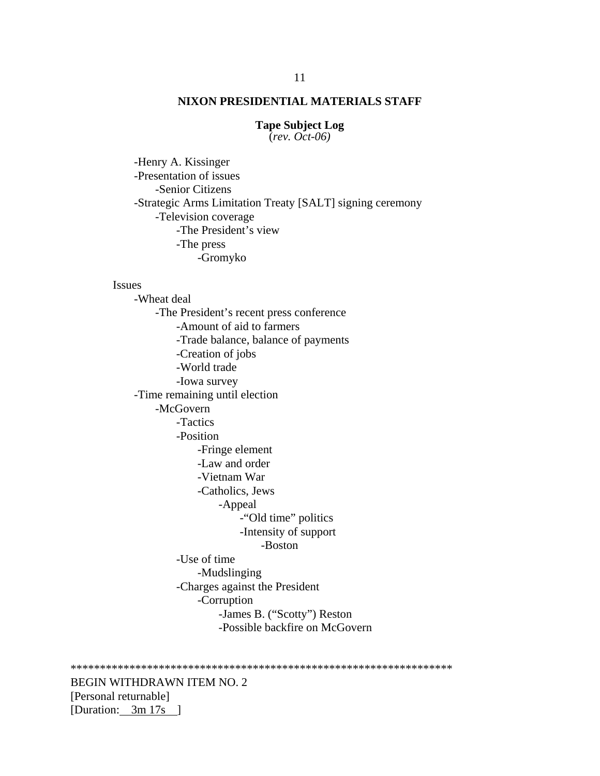**Tape Subject Log** 

 $\overline{(rev. Oct-06)}$ 

-Henry A. Kissinger -Presentation of issues -Senior Citizens -Strategic Arms Limitation Treaty [SALT] signing ceremony -Television coverage -The President's view -The press -Gromyko

## **Issues**

-Wheat deal -The President's recent press conference -Amount of aid to farmers -Trade balance, balance of payments -Creation of jobs -World trade -Iowa survey -Time remaining until election -McGovern -Tactics -Position -Fringe element -Law and order -Vietnam War -Catholics, Jews -Appeal -"Old time" politics -Intensity of support -Boston -Use of time -Mudslinging -Charges against the President -Corruption -James B. ("Scotty") Reston -Possible backfire on McGovern

**BEGIN WITHDRAWN ITEM NO. 2** [Personal returnable] [Duration: 3m 17s ]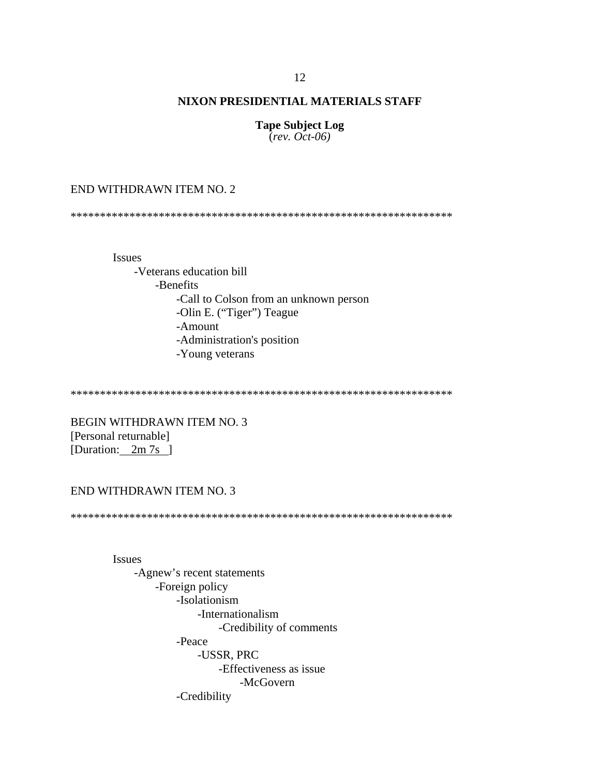**Tape Subject Log**  $\text{(\textit{rev. Oct-06})}$ 

# END WITHDRAWN ITEM NO. 2

**Issues** 

-Veterans education bill -Benefits -Call to Colson from an unknown person -Olin E. ("Tiger") Teague -Amount -Administration's position -Young veterans

**BEGIN WITHDRAWN ITEM NO. 3** [Personal returnable] [Duration: 2m 7s ]

# END WITHDRAWN ITEM NO. 3

**Issues** -Agnew's recent statements -Foreign policy -Isolationism -Internationalism -Credibility of comments -Peace -USSR, PRC -Effectiveness as issue -McGovern -Credibility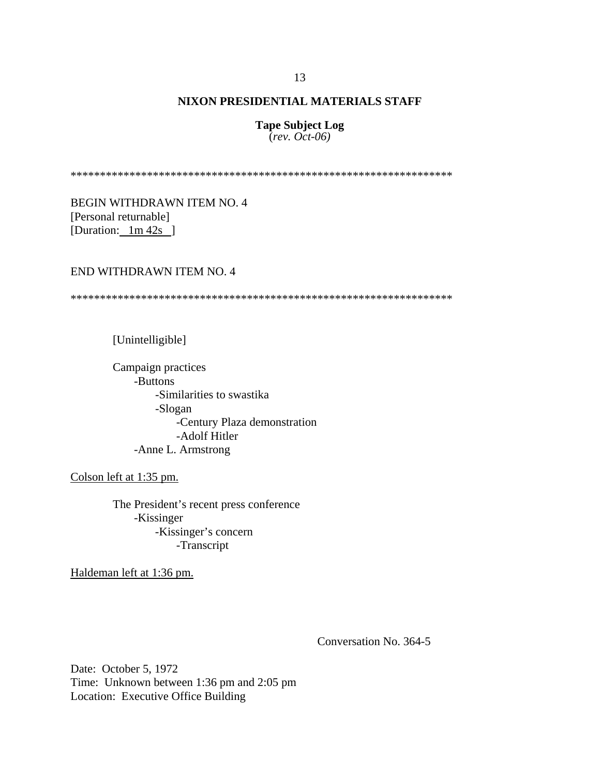**Tape Subject Log** (*rev. Oct-06)*

\*\*\*\*\*\*\*\*\*\*\*\*\*\*\*\*\*\*\*\*\*\*\*\*\*\*\*\*\*\*\*\*\*\*\*\*\*\*\*\*\*\*\*\*\*\*\*\*\*\*\*\*\*\*\*\*\*\*\*\*\*\*\*\*\*

BEGIN WITHDRAWN ITEM NO. 4 [Personal returnable] [Duration:  $1m/42s$ ]

# END WITHDRAWN ITEM NO. 4

\*\*\*\*\*\*\*\*\*\*\*\*\*\*\*\*\*\*\*\*\*\*\*\*\*\*\*\*\*\*\*\*\*\*\*\*\*\*\*\*\*\*\*\*\*\*\*\*\*\*\*\*\*\*\*\*\*\*\*\*\*\*\*\*\*

[Unintelligible]

Campaign practices -Buttons -Similarities to swastika -Slogan -Century Plaza demonstration -Adolf Hitler -Anne L. Armstrong

Colson left at 1:35 pm.

The President's recent press conference -Kissinger -Kissinger's concern -Transcript

Haldeman left at 1:36 pm.

Conversation No. 364-5

Date: October 5, 1972 Time: Unknown between 1:36 pm and 2:05 pm Location: Executive Office Building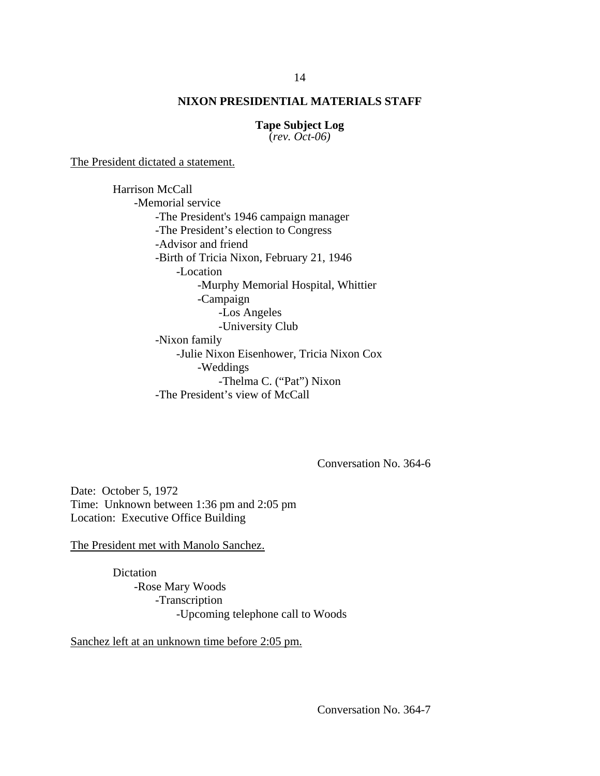**Tape Subject Log**

(*rev. Oct-06)*

The President dictated a statement.

Harrison McCall -Memorial service -The President's 1946 campaign manager -The President's election to Congress -Advisor and friend -Birth of Tricia Nixon, February 21, 1946 -Location -Murphy Memorial Hospital, Whittier -Campaign -Los Angeles -University Club -Nixon family -Julie Nixon Eisenhower, Tricia Nixon Cox -Weddings -Thelma C. ("Pat") Nixon -The President's view of McCall

Conversation No. 364-6

Date: October 5, 1972 Time: Unknown between 1:36 pm and 2:05 pm Location: Executive Office Building

The President met with Manolo Sanchez.

Dictation -Rose Mary Woods -Transcription -Upcoming telephone call to Woods

Sanchez left at an unknown time before 2:05 pm.

Conversation No. 364-7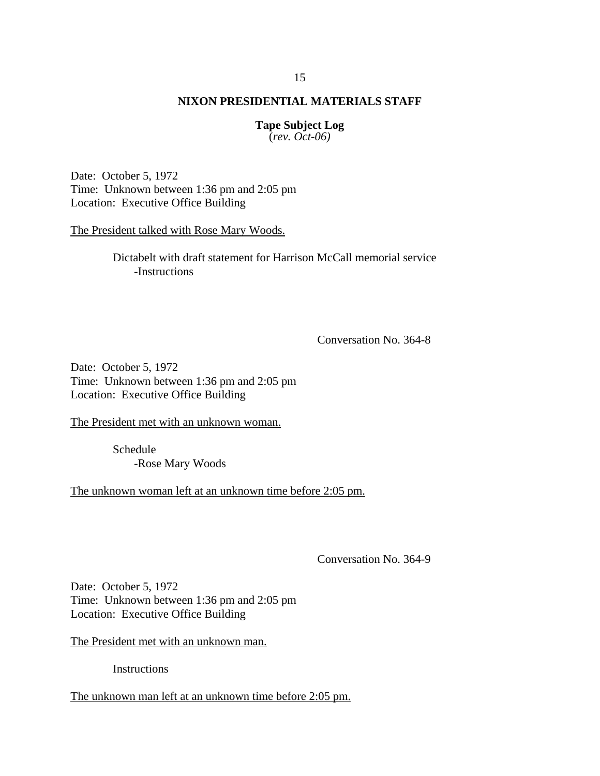**Tape Subject Log** (*rev. Oct-06)*

Date: October 5, 1972 Time: Unknown between 1:36 pm and 2:05 pm Location: Executive Office Building

The President talked with Rose Mary Woods.

Dictabelt with draft statement for Harrison McCall memorial service -Instructions

Conversation No. 364-8

Date: October 5, 1972 Time: Unknown between 1:36 pm and 2:05 pm Location: Executive Office Building

The President met with an unknown woman.

Schedule -Rose Mary Woods

The unknown woman left at an unknown time before 2:05 pm.

Conversation No. 364-9

Date: October 5, 1972 Time: Unknown between 1:36 pm and 2:05 pm Location: Executive Office Building

The President met with an unknown man.

**Instructions** 

The unknown man left at an unknown time before 2:05 pm.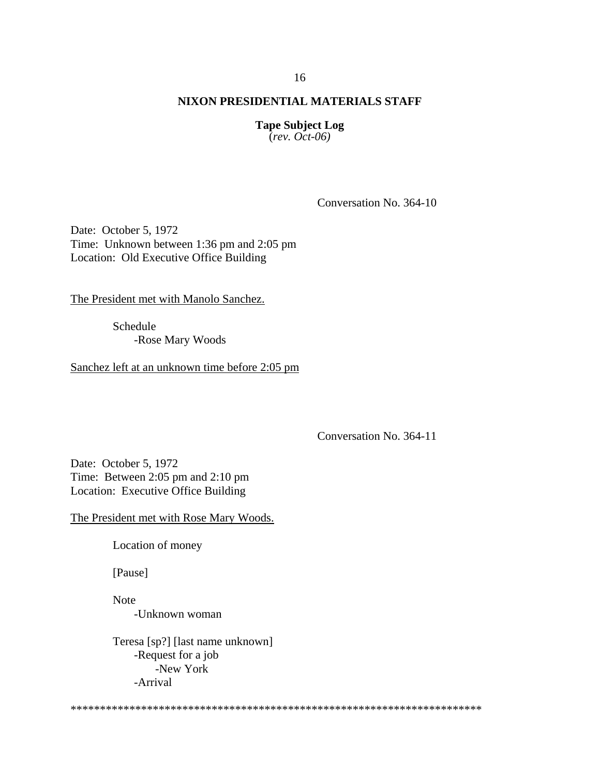**Tape Subject Log** (*rev. Oct-06)*

Conversation No. 364-10

Date: October 5, 1972 Time: Unknown between 1:36 pm and 2:05 pm Location: Old Executive Office Building

The President met with Manolo Sanchez.

Schedule -Rose Mary Woods

Sanchez left at an unknown time before 2:05 pm

Conversation No. 364-11

Date: October 5, 1972 Time: Between 2:05 pm and 2:10 pm Location: Executive Office Building

The President met with Rose Mary Woods.

Location of money

[Pause]

Note -Unknown woman

Teresa [sp?] [last name unknown] -Request for a job -New York -Arrival

\*\*\*\*\*\*\*\*\*\*\*\*\*\*\*\*\*\*\*\*\*\*\*\*\*\*\*\*\*\*\*\*\*\*\*\*\*\*\*\*\*\*\*\*\*\*\*\*\*\*\*\*\*\*\*\*\*\*\*\*\*\*\*\*\*\*\*\*\*\*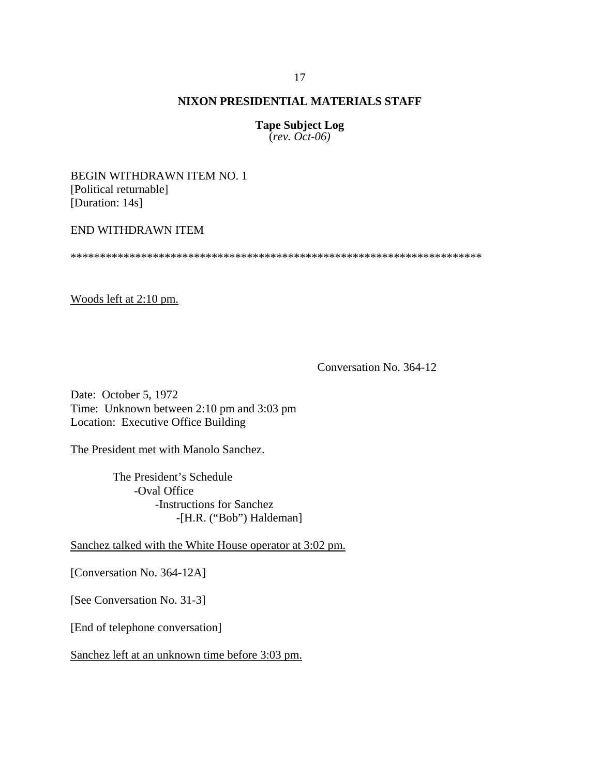**Tape Subject Log** (*rev. Oct-06)*

BEGIN WITHDRAWN ITEM NO. 1 [Political returnable] [Duration: 14s]

### END WITHDRAWN ITEM

\*\*\*\*\*\*\*\*\*\*\*\*\*\*\*\*\*\*\*\*\*\*\*\*\*\*\*\*\*\*\*\*\*\*\*\*\*\*\*\*\*\*\*\*\*\*\*\*\*\*\*\*\*\*\*\*\*\*\*\*\*\*\*\*\*\*\*\*\*\*

Woods left at 2:10 pm.

Conversation No. 364-12

Date: October 5, 1972 Time: Unknown between 2:10 pm and 3:03 pm Location: Executive Office Building

The President met with Manolo Sanchez.

The President's Schedule -Oval Office -Instructions for Sanchez -[H.R. ("Bob") Haldeman]

Sanchez talked with the White House operator at 3:02 pm.

[Conversation No. 364-12A]

[See Conversation No. 31-3]

[End of telephone conversation]

Sanchez left at an unknown time before 3:03 pm.